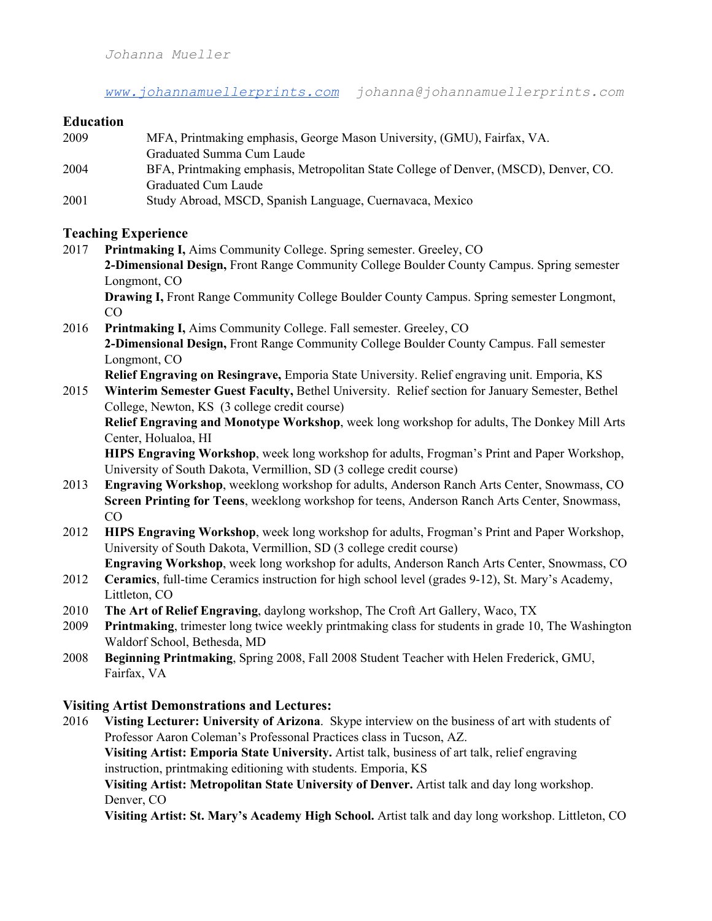*[www.johannamuellerprints.com](http://www.johannamuellerprints.com/) johanna@johannamuellerprints.com*

#### **Education**

| 2009 | MFA, Printmaking emphasis, George Mason University, (GMU), Fairfax, VA.              |
|------|--------------------------------------------------------------------------------------|
|      | Graduated Summa Cum Laude                                                            |
| 2004 | BFA, Printmaking emphasis, Metropolitan State College of Denver, (MSCD), Denver, CO. |
|      | Graduated Cum Laude                                                                  |
| 2001 | Study Abroad, MSCD, Spanish Language, Cuernavaca, Mexico                             |

#### **Teaching Experience**

2017 **Printmaking I,** Aims Community College. Spring semester. Greeley, CO **2-Dimensional Design,** Front Range Community College Boulder County Campus. Spring semester Longmont, CO

**Drawing I,** Front Range Community College Boulder County Campus. Spring semester Longmont, CO

2016 **Printmaking I,** Aims Community College. Fall semester. Greeley, CO **2-Dimensional Design,** Front Range Community College Boulder County Campus. Fall semester Longmont, CO

**Relief Engraving on Resingrave,** Emporia State University. Relief engraving unit. Emporia, KS

2015 **Winterim Semester Guest Faculty,** Bethel University. Relief section for January Semester, Bethel College, Newton, KS (3 college credit course)

**Relief Engraving and Monotype Workshop**, week long workshop for adults, The Donkey Mill Arts Center, Holualoa, HI

HIPS Engraving Workshop, week long workshop for adults, Frogman's Print and Paper Workshop, University of South Dakota, Vermillion, SD (3 college credit course)

- 2013 **Engraving Workshop**, weeklong workshop for adults, Anderson Ranch Arts Center, Snowmass, CO **Screen Printing for Teens**, weeklong workshop for teens, Anderson Ranch Arts Center, Snowmass, CO
- 2012 **HIPS Engraving Workshop**, week long workshop for adults, Frogman's Print and Paper Workshop, University of South Dakota, Vermillion, SD (3 college credit course)

**Engraving Workshop**, week long workshop for adults, Anderson Ranch Arts Center, Snowmass, CO

- 2012 **Ceramics**, full-time Ceramics instruction for high school level (grades 9-12), St. Mary's Academy, Littleton, CO
- 2010 **The Art of Relief Engraving**, daylong workshop, The Croft Art Gallery, Waco, TX
- Printmaking, trimester long twice weekly printmaking class for students in grade 10, The Washington Waldorf School, Bethesda, MD
- 2008 **Beginning Printmaking**, Spring 2008, Fall 2008 Student Teacher with Helen Frederick, GMU, Fairfax, VA

# **Visiting Artist Demonstrations and Lectures:**

2016 **Visting Lecturer: University of Arizona**. Skype interview on the business of art with students of Professor Aaron Coleman's Professonal Practices class in Tucson, AZ. **Visiting Artist: Emporia State University.** Artist talk, business of art talk, relief engraving instruction, printmaking editioning with students. Emporia, KS **Visiting Artist: Metropolitan State University of Denver.** Artist talk and day long workshop. Denver, CO

Visiting Artist: St. Mary's Academy High School. Artist talk and day long workshop. Littleton, CO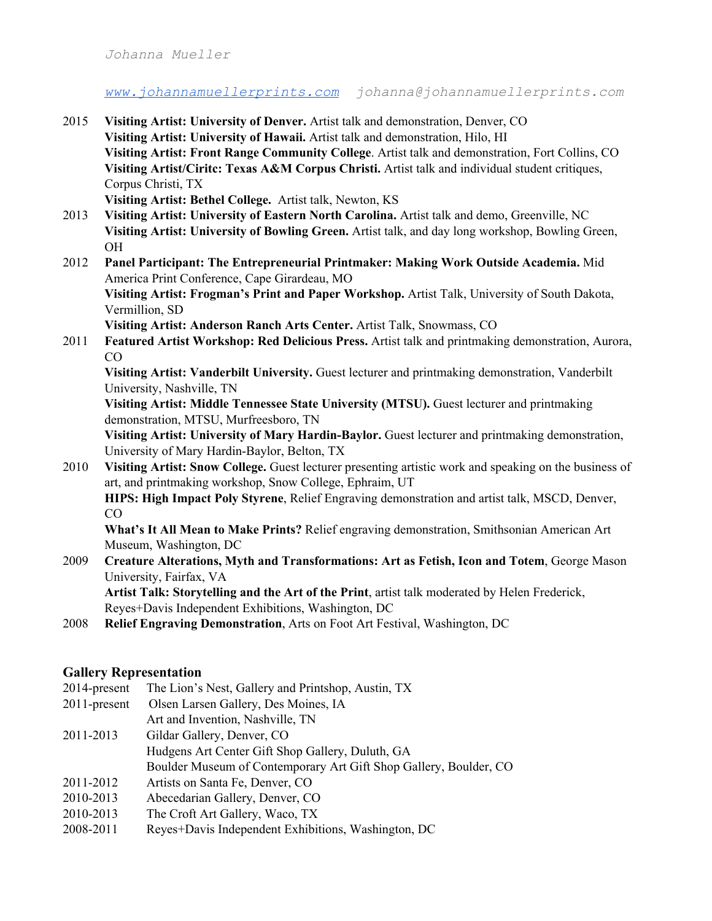*Johanna Mueller*

*[www.johannamuellerprints.com](http://www.johannamuellerprints.com/) johanna@johannamuellerprints.com*

- 2015 **Visiting Artist: University of Denver.** Artist talk and demonstration, Denver, CO **Visiting Artist: University of Hawaii.** Artist talk and demonstration, Hilo, HI **Visiting Artist: Front Range Community College**. Artist talk and demonstration, Fort Collins, CO **Visiting Artist/Ciritc: Texas A&M Corpus Christi.** Artist talk and individual student critiques, Corpus Christi, TX **Visiting Artist: Bethel College.** Artist talk, Newton, KS
- 2013 **Visiting Artist: University of Eastern North Carolina.** Artist talk and demo, Greenville, NC **Visiting Artist: University of Bowling Green.** Artist talk, and day long workshop, Bowling Green, OH

# 2012 **Panel Participant: The Entrepreneurial Printmaker: Making Work Outside Academia.** Mid America Print Conference, Cape Girardeau, MO

**Visiting Artist: Frogman's Print and Paper Workshop.** Artist Talk, University of South Dakota, Vermillion, SD

Visiting Artist: Anderson Ranch Arts Center. Artist Talk, Snowmass, CO

2011 **Featured Artist Workshop: Red Delicious Press.** Artist talk and printmaking demonstration, Aurora,  $CO$ 

**Visiting Artist: Vanderbilt University.** Guest lecturer and printmaking demonstration, Vanderbilt University, Nashville, TN

**Visiting Artist: Middle Tennessee State University (MTSU).** Guest lecturer and printmaking demonstration, MTSU, Murfreesboro, TN

**Visiting Artist: University of Mary Hardin-Baylor.** Guest lecturer and printmaking demonstration, University of Mary Hardin-Baylor, Belton, TX

2010 **Visiting Artist: Snow College.** Guest lecturer presenting artistic work and speaking on the business of art, and printmaking workshop, Snow College, Ephraim, UT

**HIPS: High Impact Poly Styrene**, Relief Engraving demonstration and artist talk, MSCD, Denver, CO

**What's It All Mean to Make Prints?** Relief engraving demonstration, Smithsonian American Art Museum, Washington, DC

2009 **Creature Alterations, Myth and Transformations: Art as Fetish, Icon and Totem**, George Mason University, Fairfax, VA

**Artist Talk: Storytelling and the Art of the Print**, artist talk moderated by Helen Frederick, Reyes+Davis Independent Exhibitions, Washington, DC

2008 **Relief Engraving Demonstration**, Arts on Foot Art Festival, Washington, DC

# **Gallery Representation**

- 2014-present The Lion's Nest, Gallery and Printshop, Austin, TX
- 2011-present Olsen Larsen Gallery, Des Moines, IA
- Art and Invention, Nashville, TN
- 2011-2013 Gildar Gallery, Denver, CO Hudgens Art Center Gift Shop Gallery, Duluth, GA
	- Boulder Museum of Contemporary Art Gift Shop Gallery, Boulder, CO
- 2011-2012 Artists on Santa Fe, Denver, CO
- 2010-2013 Abecedarian Gallery, Denver, CO
- 2010-2013 The Croft Art Gallery, Waco, TX
- 2008-2011 Reyes+Davis Independent Exhibitions, Washington, DC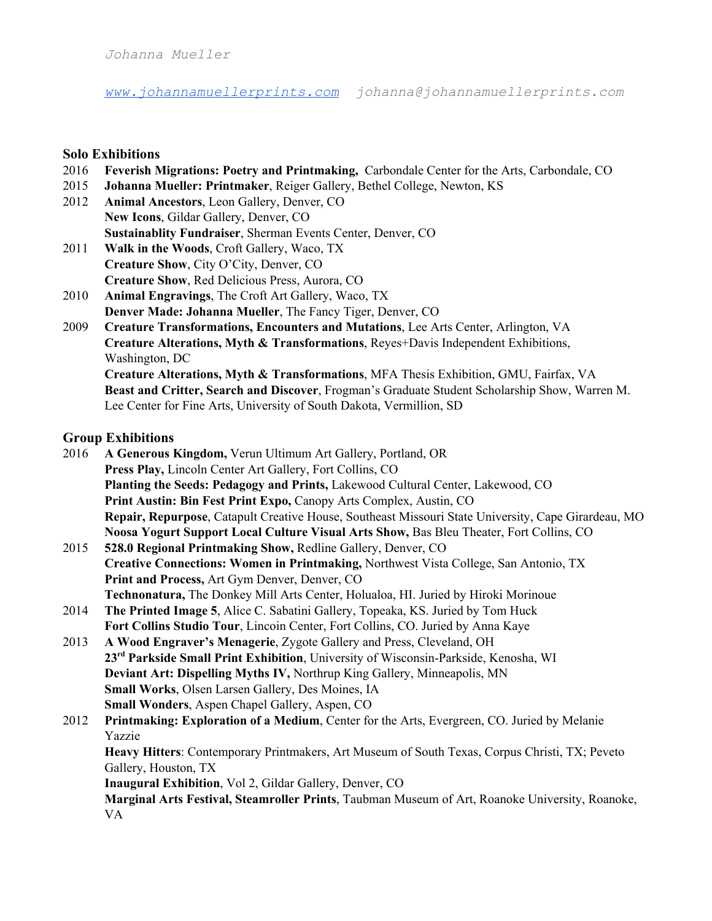*Johanna Mueller*

*[www.johannamuellerprints.com](http://www.johannamuellerprints.com/) johanna@johannamuellerprints.com*

#### **Solo Exhibitions**

- 2016 **Feverish Migrations: Poetry and Printmaking, Carbondale Center for the Arts, Carbondale, CO**<br>2015 **Johanna Mueller: Printmaker**, Reiger Gallery, Bethel College, Newton, KS
- 2015 **Johanna Mueller: Printmaker**, Reiger Gallery, Bethel College, Newton, KS
- Animal Ancestors, Leon Gallery, Denver, CO **New Icons**, Gildar Gallery, Denver, CO **Sustainablity Fundraiser**, Sherman Events Center, Denver, CO
- 2011 **Walk in the Woods**, Croft Gallery, Waco, TX **Creature Show**, City O'City, Denver, CO **Creature Show**, Red Delicious Press, Aurora, CO
- 2010 **Animal Engravings**, The Croft Art Gallery, Waco, TX **Denver Made: Johanna Mueller**, The Fancy Tiger, Denver, CO
- 2009 **Creature Transformations, Encounters and Mutations**, Lee Arts Center, Arlington, VA **Creature Alterations, Myth & Transformations**, Reyes+Davis Independent Exhibitions, Washington, DC **Creature Alterations, Myth & Transformations**, MFA Thesis Exhibition, GMU, Fairfax, VA **Beast and Critter, Search and Discover**, Frogman's Graduate Student Scholarship Show, Warren M. Lee Center for Fine Arts, University of South Dakota, Vermillion, SD

# **Group Exhibitions**

- 2016 **A Generous Kingdom,** Verun Ultimum Art Gallery, Portland, OR **Press Play,** Lincoln Center Art Gallery, Fort Collins, CO **Planting the Seeds: Pedagogy and Prints,** Lakewood Cultural Center, Lakewood, CO **Print Austin: Bin Fest Print Expo,** Canopy Arts Complex, Austin, CO **Repair, Repurpose**, Catapult Creative House, Southeast Missouri State University, Cape Girardeau, MO **Noosa Yogurt Support Local Culture Visual Arts Show,** Bas Bleu Theater, Fort Collins, CO
- 2015 **528.0 Regional Printmaking Show, Redline Gallery, Denver, CO Creative Connections: Women in Printmaking,** Northwest Vista College, San Antonio, TX **Print and Process,** Art Gym Denver, Denver, CO **Technonatura,** The Donkey Mill Arts Center, Holualoa, HI. Juried by Hiroki Morinoue
- 2014 **The Printed Image 5**, Alice C. Sabatini Gallery, Topeaka, KS. Juried by Tom Huck **Fort Collins Studio Tour**, Lincoin Center, Fort Collins, CO. Juried by Anna Kaye
- 2013 **A Wood Engraver's Menagerie**, Zygote Gallery and Press, Cleveland, OH **23 rd Parkside Small Print Exhibition**, University of Wisconsin-Parkside, Kenosha, WI **Deviant Art: Dispelling Myths IV,** Northrup King Gallery, Minneapolis, MN **Small Works**, Olsen Larsen Gallery, Des Moines, IA **Small Wonders**, Aspen Chapel Gallery, Aspen, CO

# 2012 **Printmaking: Exploration of a Medium**, Center for the Arts, Evergreen, CO. Juried by Melanie Yazzie **Heavy Hitters**: Contemporary Printmakers, Art Museum of South Texas, Corpus Christi, TX; Peveto Gallery, Houston, TX **Inaugural Exhibition**, Vol 2, Gildar Gallery, Denver, CO **Marginal Arts Festival, Steamroller Prints**, Taubman Museum of Art, Roanoke University, Roanoke,

VA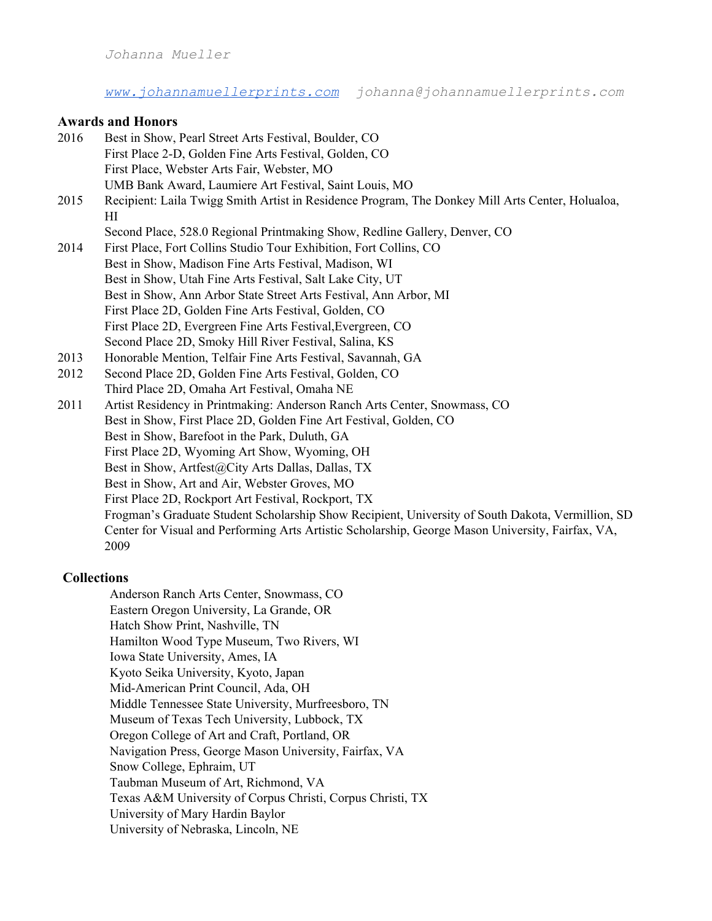*[www.johannamuellerprints.com](http://www.johannamuellerprints.com/) johanna@johannamuellerprints.com*

# **Awards and Honors**

| 2016 | Best in Show, Pearl Street Arts Festival, Boulder, CO                                                  |
|------|--------------------------------------------------------------------------------------------------------|
|      | First Place 2-D, Golden Fine Arts Festival, Golden, CO                                                 |
|      | First Place, Webster Arts Fair, Webster, MO                                                            |
|      | UMB Bank Award, Laumiere Art Festival, Saint Louis, MO                                                 |
| 2015 | Recipient: Laila Twigg Smith Artist in Residence Program, The Donkey Mill Arts Center, Holualoa,<br>HІ |
|      | Second Place, 528.0 Regional Printmaking Show, Redline Gallery, Denver, CO                             |
| 2014 | First Place, Fort Collins Studio Tour Exhibition, Fort Collins, CO                                     |
|      | Best in Show, Madison Fine Arts Festival, Madison, WI                                                  |
|      | Best in Show, Utah Fine Arts Festival, Salt Lake City, UT                                              |
|      | Best in Show, Ann Arbor State Street Arts Festival, Ann Arbor, MI                                      |
|      | First Place 2D, Golden Fine Arts Festival, Golden, CO                                                  |
|      | First Place 2D, Evergreen Fine Arts Festival, Evergreen, CO                                            |
|      | Second Place 2D, Smoky Hill River Festival, Salina, KS                                                 |
| 2013 | Honorable Mention, Telfair Fine Arts Festival, Savannah, GA                                            |
| 2012 | Second Place 2D, Golden Fine Arts Festival, Golden, CO                                                 |
|      | Third Place 2D, Omaha Art Festival, Omaha NE                                                           |
| 2011 | Artist Residency in Printmaking: Anderson Ranch Arts Center, Snowmass, CO                              |
|      | Best in Show, First Place 2D, Golden Fine Art Festival, Golden, CO                                     |
|      | Best in Show, Barefoot in the Park, Duluth, GA                                                         |
|      | First Place 2D, Wyoming Art Show, Wyoming, OH                                                          |
|      | Best in Show, Artfest@City Arts Dallas, Dallas, TX                                                     |
|      | Best in Show, Art and Air, Webster Groves, MO                                                          |
|      | First Place 2D, Rockport Art Festival, Rockport, TX                                                    |
|      | Frogman's Graduate Student Scholarship Show Recipient, University of South Dakota, Vermillion, SD      |
|      | Center for Visual and Performing Arts Artistic Scholarship, George Mason University, Fairfax, VA,      |
|      | 2009                                                                                                   |
|      |                                                                                                        |
| Л 11 |                                                                                                        |

# **Collections**

Anderson Ranch Arts Center, Snowmass, CO Eastern Oregon University, La Grande, OR Hatch Show Print, Nashville, TN Hamilton Wood Type Museum, Two Rivers, WI Iowa State University, Ames, IA Kyoto Seika University, Kyoto, Japan Mid-American Print Council, Ada, OH Middle Tennessee State University, Murfreesboro, TN Museum of Texas Tech University, Lubbock, TX Oregon College of Art and Craft, Portland, OR Navigation Press, George Mason University, Fairfax, VA Snow College, Ephraim, UT Taubman Museum of Art, Richmond, VA Texas A&M University of Corpus Christi, Corpus Christi, TX University of Mary Hardin Baylor University of Nebraska, Lincoln, NE